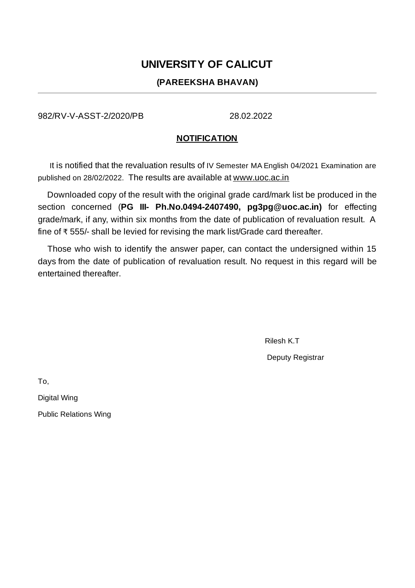# **UNIVERSITY OF CALICUT**

## **(PAREEKSHA BHAVAN)**

982/RV-V-ASST-2/2020/PB 28.02.2022

## **NOTIFICATION**

It is notified that the revaluation results of IV Semester MA English 04/2021 Examination are published on 28/02/2022. The results are available at www.uoc.ac.in

Downloaded copy of the result with the original grade card/mark list be produced in the section concerned (**PG III- Ph.No.0494-2407490, pg3pg@uoc.ac.in)** for effecting grade/mark, if any, within six months from the date of publication of revaluation result. A fine of ₹ 555/- shall be levied for revising the mark list/Grade card thereafter.

Those who wish to identify the answer paper, can contact the undersigned within 15 days from the date of publication of revaluation result. No request in this regard will be entertained thereafter.

> Rilesh K.T Deputy Registrar

To,

Digital Wing

Public Relations Wing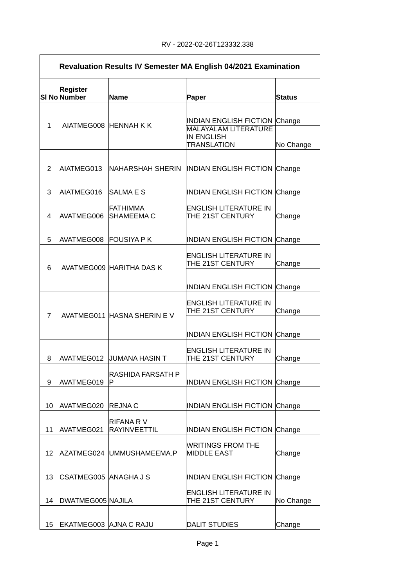|                | <b>Revaluation Results IV Semester MA English 04/2021 Examination</b> |                                         |                                                                     |               |
|----------------|-----------------------------------------------------------------------|-----------------------------------------|---------------------------------------------------------------------|---------------|
|                | Register<br>SI No Number                                              | <b>Name</b>                             | <b>Paper</b>                                                        | <b>Status</b> |
| $\mathbf{1}$   | AIATMEG008 HENNAH K K                                                 |                                         | <b>INDIAN ENGLISH FICTION Change</b><br><b>MALAYALAM LITERATURE</b> |               |
|                |                                                                       |                                         | <b>IN ENGLISH</b><br><b>TRANSLATION</b>                             | No Change     |
| 2              | AIATMEG013                                                            | <b>NAHARSHAH SHERIN</b>                 | <b>INDIAN ENGLISH FICTION Change</b>                                |               |
| 3              | AIATMEG016                                                            | <b>SALMAES</b>                          | <b>INDIAN ENGLISH FICTION Change</b>                                |               |
| 4              | AVATMEG006                                                            | <b>FATHIMMA</b><br>SHAMEEMA C           | <b>ENGLISH LITERATURE IN</b><br>THE 21ST CENTURY                    | Change        |
| 5              | AVATMEG008                                                            | <b>FOUSIYA P K</b>                      | <b>INDIAN ENGLISH FICTION Change</b>                                |               |
| 6              |                                                                       | AVATMEG009 HARITHA DAS K                | <b>ENGLISH LITERATURE IN</b><br>THE 21ST CENTURY                    | Change        |
|                |                                                                       |                                         | <b>INDIAN ENGLISH FICTION Change</b>                                |               |
| $\overline{7}$ |                                                                       | AVATMEG011 HASNA SHERIN EV              | <b>ENGLISH LITERATURE IN</b><br>THE 21ST CENTURY                    | Change        |
|                |                                                                       |                                         | <b>INDIAN ENGLISH FICTION Change</b>                                |               |
| 8              | AVATMEG012                                                            | <b>JUMANA HASIN T</b>                   | <b>ENGLISH LITERATURE IN</b><br>THE 21ST CENTURY                    | Change        |
| 9              | AVATMEG019                                                            | <b>RASHIDA FARSATH P</b><br>P           | <b>INDIAN ENGLISH FICTION Change</b>                                |               |
| 10             | AVATMEG020                                                            | <b>REJNAC</b>                           | <b>INDIAN ENGLISH FICTION Change</b>                                |               |
| 11             | AVATMEG021                                                            | <b>RIFANA RV</b><br><b>RAYINVEETTIL</b> | <b>INDIAN ENGLISH FICTION Change</b>                                |               |
| 12             | AZATMEG024                                                            | UMMUSHAMEEMA.P                          | <b>WRITINGS FROM THE</b><br><b>MIDDLE EAST</b>                      | Change        |
| 13             | CSATMEG005 ANAGHA J S                                                 |                                         | <b>INDIAN ENGLISH FICTION Change</b>                                |               |
| 14             | DWATMEG005 NAJILA                                                     |                                         | <b>ENGLISH LITERATURE IN</b><br>THE 21ST CENTURY                    | No Change     |
| 15             | EKATMEG003 AJNA C RAJU                                                |                                         | <b>DALIT STUDIES</b>                                                | Change        |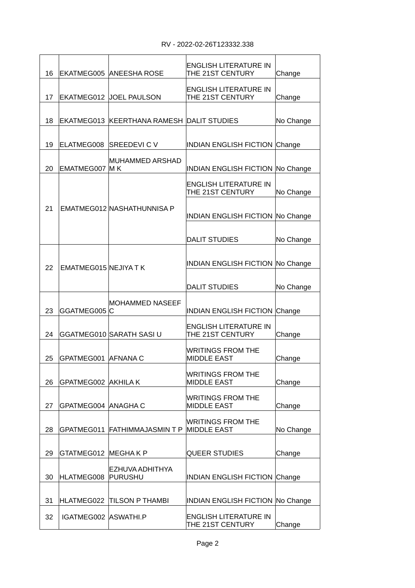### RV - 2022-02-26T123332.338

| 16 |                      | <b>EKATMEG005 ANEESHA ROSE</b>            | <b>ENGLISH LITERATURE IN</b><br>THE 21ST CENTURY | Change    |
|----|----------------------|-------------------------------------------|--------------------------------------------------|-----------|
| 17 | EKATMEG012           | <b>JOEL PAULSON</b>                       | <b>ENGLISH LITERATURE IN</b><br>THE 21ST CENTURY | Change    |
| 18 |                      | EKATMEG013 KEERTHANA RAMESH DALIT STUDIES |                                                  | No Change |
| 19 | ELATMEG008           | <b>SREEDEVI C V</b>                       | <b>INDIAN ENGLISH FICTION Change</b>             |           |
| 20 | EMATMEG007           | MUHAMMED ARSHAD<br>M <sub>K</sub>         | <b>INDIAN ENGLISH FICTION No Change</b>          |           |
|    |                      |                                           | ENGLISH LITERATURE IN<br>THE 21ST CENTURY        | No Change |
| 21 |                      | EMATMEG012 NASHATHUNNISA P                | <b>INDIAN ENGLISH FICTION No Change</b>          |           |
|    |                      |                                           | <b>DALIT STUDIES</b>                             | No Change |
| 22 | EMATMEG015 NEJIYA TK |                                           | <b>INDIAN ENGLISH FICTION No Change</b>          |           |
|    |                      |                                           | <b>DALIT STUDIES</b>                             | No Change |
| 23 | GGATMEG005           | <b>MOHAMMED NASEEF</b><br>C               | <b>INDIAN ENGLISH FICTION Change</b>             |           |
| 24 |                      | GGATMEG010 SARATH SASI U                  | ENGLISH LITERATURE IN<br>THE 21ST CENTURY        | Change    |
| 25 | GPATMEG001 AFNANAC   |                                           | <b>WRITINGS FROM THE</b><br><b>MIDDLE EAST</b>   | Change    |
| 26 | GPATMEG002 AKHILAK   |                                           | <b>WRITINGS FROM THE</b><br><b>MIDDLE EAST</b>   | Change    |
| 27 | GPATMEG004 ANAGHAC   |                                           | <b>WRITINGS FROM THE</b><br><b>MIDDLE EAST</b>   | Change    |
| 28 | GPATMEG011           | <b>FATHIMMAJASMINTP</b>                   | <b>WRITINGS FROM THE</b><br><b>MIDDLE EAST</b>   | No Change |
| 29 | GTATMEG012           | <b>MEGHAKP</b>                            | QUEER STUDIES                                    | Change    |
| 30 | HLATMEG008           | EZHUVA ADHITHYA<br><b>PURUSHU</b>         | <b>INDIAN ENGLISH FICTION Change</b>             |           |
| 31 | HLATMEG022           | TILSON P THAMBI                           | <b>INDIAN ENGLISH FICTION No Change</b>          |           |
| 32 | IGATMEG002 ASWATHI.P |                                           | <b>ENGLISH LITERATURE IN</b><br>THE 21ST CENTURY | Change    |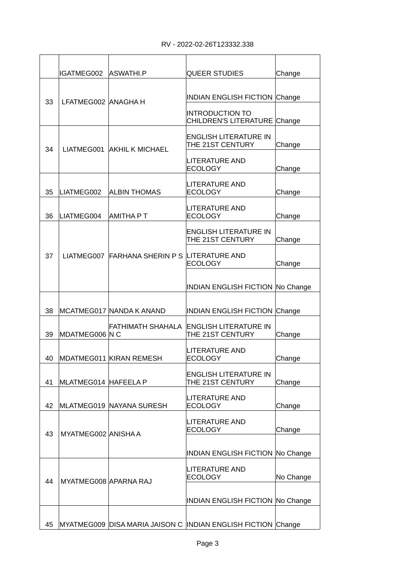|    | IGATMEG002            | ASWATHI.P                                    | <b>QUEER STUDIES</b>                                         | Change    |
|----|-----------------------|----------------------------------------------|--------------------------------------------------------------|-----------|
| 33 | LFATMEG002 ANAGHAH    |                                              | <b>INDIAN ENGLISH FICTION Change</b>                         |           |
|    |                       |                                              | <b>INTRODUCTION TO</b><br>CHILDREN'S LITERATURE Change       |           |
| 34 |                       | LIATMEG001 AKHIL K MICHAEL                   | <b>ENGLISH LITERATURE IN</b><br>THE 21ST CENTURY             | Change    |
|    |                       |                                              | LITERATURE AND<br><b>ECOLOGY</b>                             | Change    |
| 35 | LIATMEG002            | <b>ALBIN THOMAS</b>                          | <b>LITERATURE AND</b><br><b>ECOLOGY</b>                      | Change    |
| 36 | LIATMEG004            | <b>AMITHA PT</b>                             | <b>LITERATURE AND</b><br><b>ECOLOGY</b>                      | Change    |
|    |                       |                                              | <b>ENGLISH LITERATURE IN</b><br>THE 21ST CENTURY             | Change    |
| 37 |                       | LIATMEG007 FARHANA SHERIN P S LITERATURE AND | <b>ECOLOGY</b>                                               | Change    |
|    |                       |                                              | <b>INDIAN ENGLISH FICTION No Change</b>                      |           |
| 38 |                       | MCATMEG017 NANDA K ANAND                     | <b>INDIAN ENGLISH FICTION Change</b>                         |           |
| 39 | MDATMEG006 N C        | FATHIMATH SHAHALA                            | ENGLISH LITERATURE IN<br>THE 21ST CENTURY                    | Change    |
| 40 |                       | MDATMEG011 KIRAN REMESH                      | <b>LITERATURE AND</b><br><b>ECOLOGY</b>                      | Change    |
| 41 | MLATMEG014 HAFEELA P  |                                              | <b>ENGLISH LITERATURE IN</b><br>THE 21ST CENTURY             | Change    |
| 42 |                       | MLATMEG019 NAYANA SURESH                     | <b>LITERATURE AND</b><br><b>ECOLOGY</b>                      | Change    |
| 43 | MYATMEG002 ANISHA A   |                                              | <b>LITERATURE AND</b><br><b>ECOLOGY</b>                      | Change    |
|    |                       |                                              | <b>INDIAN ENGLISH FICTION No Change</b>                      |           |
| 44 | MYATMEG008 APARNA RAJ |                                              | <b>LITERATURE AND</b><br><b>ECOLOGY</b>                      | No Change |
|    |                       |                                              | <b>INDIAN ENGLISH FICTION No Change</b>                      |           |
|    |                       |                                              |                                                              |           |
| 45 |                       |                                              | MYATMEG009 DISA MARIA JAISON C INDIAN ENGLISH FICTION Change |           |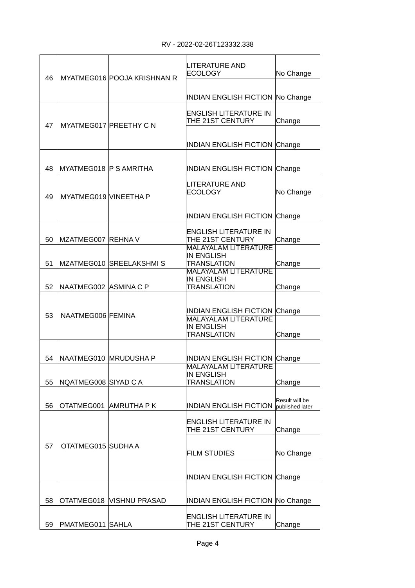| 46 |                        | MYATMEG016 POOJA KRISHNAN R   | <b>LITERATURE AND</b><br><b>ECOLOGY</b>                                | No Change                         |
|----|------------------------|-------------------------------|------------------------------------------------------------------------|-----------------------------------|
|    |                        |                               | <b>INDIAN ENGLISH FICTION No Change</b>                                |                                   |
| 47 |                        | <b>MYATMEG017 PREETHY C N</b> | <b>ENGLISH LITERATURE IN</b><br>THE 21ST CENTURY                       | Change                            |
|    |                        |                               | <b>INDIAN ENGLISH FICTION</b>                                          | Change                            |
| 48 | MYATMEG018 P S AMRITHA |                               | <b>INDIAN ENGLISH FICTION</b>                                          | Change                            |
| 49 | MYATMEG019 VINEETHA P  |                               | <b>LITERATURE AND</b><br><b>ECOLOGY</b>                                | No Change                         |
|    |                        |                               | <b>INDIAN ENGLISH FICTION</b>                                          | Change                            |
| 50 | MZATMEG007 REHNA V     |                               | <b>ENGLISH LITERATURE IN</b><br>THE 21ST CENTURY                       | Change                            |
| 51 |                        | MZATMEG010 SREELAKSHMIS       | <b>MALAYALAM LITERATURE</b><br><b>IN ENGLISH</b><br><b>TRANSLATION</b> | Change                            |
| 52 | NAATMEG002 ASMINA C P  |                               | <b>MALAYALAM LITERATURE</b><br><b>IN ENGLISH</b><br><b>TRANSLATION</b> | Change                            |
| 53 | NAATMEG006 FEMINA      |                               | <b>INDIAN ENGLISH FICTION</b>                                          | Change                            |
|    |                        |                               | <b>MALAYALAM LITERATURE</b><br><b>IN ENGLISH</b><br><b>TRANSLATION</b> | Change                            |
| 54 | NAATMEG010  MRUDUSHA P |                               | <b>INDIAN ENGLISH FICTION</b>                                          | Change                            |
| 55 | NQATMEG008 SIYAD C A   |                               | <b>MALAYALAM LITERATURE</b><br><b>IN ENGLISH</b><br><b>TRANSLATION</b> | Change                            |
| 56 |                        | OTATMEG001 AMRUTHA P K        | <b>INDIAN ENGLISH FICTION</b>                                          | Result will be<br>published later |
|    |                        |                               | <b>ENGLISH LITERATURE IN</b><br>THE 21ST CENTURY                       | Change                            |
| 57 | OTATMEG015 SUDHA A     |                               | <b>FILM STUDIES</b>                                                    | No Change                         |
|    |                        |                               | <b>INDIAN ENGLISH FICTION Change</b>                                   |                                   |
| 58 | OTATMEG018             | VISHNU PRASAD                 | <b>INDIAN ENGLISH FICTION No Change</b>                                |                                   |
| 59 | PMATMEG011 SAHLA       |                               | <b>ENGLISH LITERATURE IN</b><br>THE 21ST CENTURY                       | Change                            |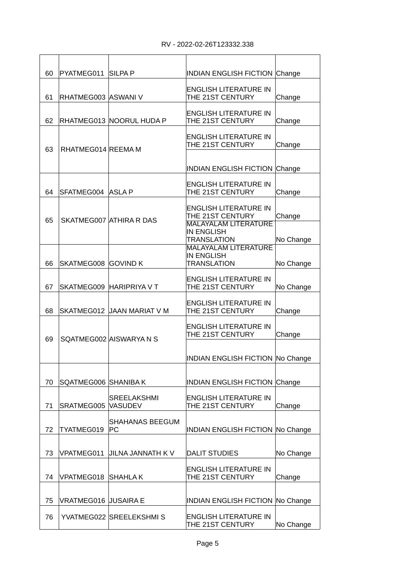| 60 | PYATMEG011 SILPA P          |                              | <b>INDIAN ENGLISH FICTION Change</b>             |           |
|----|-----------------------------|------------------------------|--------------------------------------------------|-----------|
| 61 | RHATMEG003 ASWANI V         |                              | <b>ENGLISH LITERATURE IN</b><br>THE 21ST CENTURY | Change    |
| 62 |                             | RHATMEG013 NOORUL HUDA P     | <b>ENGLISH LITERATURE IN</b><br>THE 21ST CENTURY |           |
|    |                             |                              |                                                  | Change    |
| 63 | RHATMEG014 REEMA M          |                              | <b>ENGLISH LITERATURE IN</b><br>THE 21ST CENTURY | Change    |
|    |                             |                              | <b>INDIAN ENGLISH FICTION Change</b>             |           |
|    |                             |                              |                                                  |           |
| 64 | SFATMEG004 ASLAP            |                              | <b>ENGLISH LITERATURE IN</b><br>THE 21ST CENTURY | Change    |
|    |                             |                              | <b>ENGLISH LITERATURE IN</b><br>THE 21ST CENTURY | Change    |
| 65 |                             | SKATMEG007 ATHIRA R DAS      | <b>MALAYALAM LITERATURE</b>                      |           |
|    |                             |                              | <b>IN ENGLISH</b><br><b>TRANSLATION</b>          | No Change |
|    |                             |                              | <b>MALAYALAM LITERATURE</b><br><b>IN ENGLISH</b> |           |
| 66 | SKATMEG008 GOVIND K         |                              | <b>TRANSLATION</b>                               | No Change |
|    |                             |                              | <b>ENGLISH LITERATURE IN</b>                     |           |
| 67 |                             | SKATMEG009 HARIPRIYA V T     | THE 21ST CENTURY                                 | No Change |
| 68 |                             | SKATMEG012 JAAN MARIAT V M   | <b>ENGLISH LITERATURE IN</b><br>THE 21ST CENTURY | Change    |
|    |                             |                              | <b>ENGLISH LITERATURE IN</b>                     |           |
| 69 |                             | SOATMEG002 AISWARYA N S      | THE 21ST CENTURY                                 | Change    |
|    |                             |                              |                                                  |           |
|    |                             |                              | <b>INDIAN ENGLISH FICTION No Change</b>          |           |
| 70 | SQATMEG006 SHANIBAK         |                              | <b>INDIAN ENGLISH FICTION Change</b>             |           |
|    |                             | <b>SREELAKSHMI</b>           | <b>ENGLISH LITERATURE IN</b>                     |           |
| 71 | SRATMEG005                  | <b>VASUDEV</b>               | THE 21ST CENTURY                                 | Change    |
| 72 | TYATMEG019                  | <b>SHAHANAS BEEGUM</b><br>PC | <b>INDIAN ENGLISH FICTION No Change</b>          |           |
|    |                             |                              |                                                  |           |
| 73 | VPATMEG011                  | JILNA JANNATH K V            | <b>DALIT STUDIES</b>                             | No Change |
| 74 | VPATMEG018                  | ISHAHLA K                    | <b>ENGLISH LITERATURE IN</b><br>THE 21ST CENTURY | Change    |
|    |                             |                              |                                                  |           |
| 75 | <b>VRATMEG016 JUSAIRA E</b> |                              | <b>INDIAN ENGLISH FICTION No Change</b>          |           |
| 76 |                             | YVATMEG022 SREELEKSHMIS      | <b>ENGLISH LITERATURE IN</b><br>THE 21ST CENTURY | No Change |
|    |                             |                              |                                                  |           |